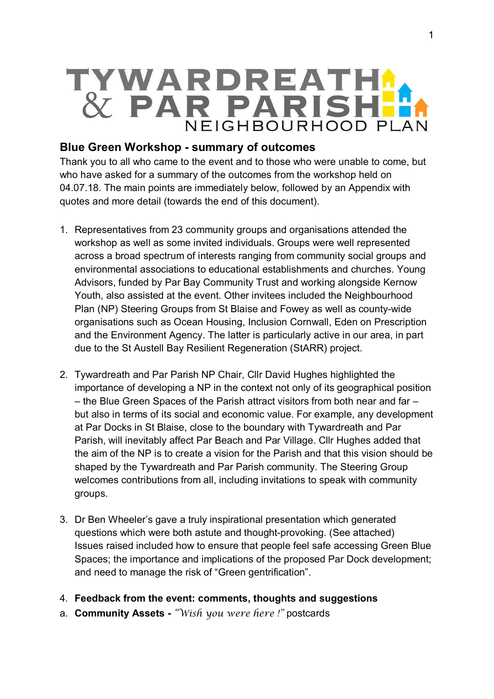# TYWARDREATH & PAR PARISH NEIGHBOURHOOD PLAN

## **Blue Green Workshop - summary of outcomes**

Thank you to all who came to the event and to those who were unable to come, but who have asked for a summary of the outcomes from the workshop held on 04.07.18. The main points are immediately below, followed by an Appendix with quotes and more detail (towards the end of this document).

- 1. Representatives from 23 community groups and organisations attended the workshop as well as some invited individuals. Groups were well represented across a broad spectrum of interests ranging from community social groups and environmental associations to educational establishments and churches. Young Advisors, funded by Par Bay Community Trust and working alongside Kernow Youth, also assisted at the event. Other invitees included the Neighbourhood Plan (NP) Steering Groups from St Blaise and Fowey as well as county-wide organisations such as Ocean Housing, Inclusion Cornwall, Eden on Prescription and the Environment Agency. The latter is particularly active in our area, in part due to the St Austell Bay Resilient Regeneration (StARR) project.
- 2. Tywardreath and Par Parish NP Chair, Cllr David Hughes highlighted the importance of developing a NP in the context not only of its geographical position – the Blue Green Spaces of the Parish attract visitors from both near and far – but also in terms of its social and economic value. For example, any development at Par Docks in St Blaise, close to the boundary with Tywardreath and Par Parish, will inevitably affect Par Beach and Par Village. Cllr Hughes added that the aim of the NP is to create a vision for the Parish and that this vision should be shaped by the Tywardreath and Par Parish community. The Steering Group welcomes contributions from all, including invitations to speak with community groups.
- 3. Dr Ben Wheeler's gave a truly inspirational presentation which generated questions which were both astute and thought-provoking. (See attached) Issues raised included how to ensure that people feel safe accessing Green Blue Spaces; the importance and implications of the proposed Par Dock development; and need to manage the risk of "Green gentrification".
- 4. **Feedback from the event: comments, thoughts and suggestions**
- a. **Community Assets -** *"Wish you were here !"* postcards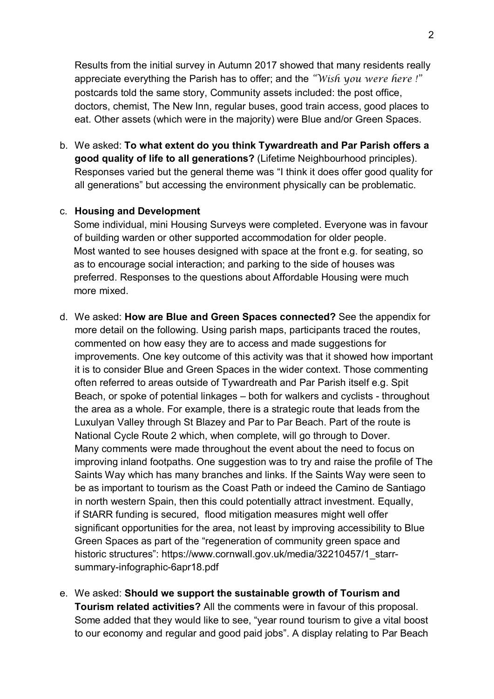Results from the initial survey in Autumn 2017 showed that many residents really appreciate everything the Parish has to offer; and the *"Wish you were here !"*  postcards told the same story, Community assets included: the post office, doctors, chemist, The New Inn, regular buses, good train access, good places to eat. Other assets (which were in the majority) were Blue and/or Green Spaces.

b. We asked: **To what extent do you think Tywardreath and Par Parish offers a good quality of life to all generations?** (Lifetime Neighbourhood principles). Responses varied but the general theme was "I think it does offer good quality for all generations" but accessing the environment physically can be problematic.

#### c. **Housing and Development**

Some individual, mini Housing Surveys were completed. Everyone was in favour of building warden or other supported accommodation for older people. Most wanted to see houses designed with space at the front e.g. for seating, so as to encourage social interaction; and parking to the side of houses was preferred. Responses to the questions about Affordable Housing were much more mixed.

- d. We asked: **How are Blue and Green Spaces connected?** See the appendix for more detail on the following. Using parish maps, participants traced the routes, commented on how easy they are to access and made suggestions for improvements. One key outcome of this activity was that it showed how important it is to consider Blue and Green Spaces in the wider context. Those commenting often referred to areas outside of Tywardreath and Par Parish itself e.g. Spit Beach, or spoke of potential linkages – both for walkers and cyclists - throughout the area as a whole. For example, there is a strategic route that leads from the Luxulyan Valley through St Blazey and Par to Par Beach. Part of the route is National Cycle Route 2 which, when complete, will go through to Dover. Many comments were made throughout the event about the need to focus on improving inland footpaths. One suggestion was to try and raise the profile of The Saints Way which has many branches and links. If the Saints Way were seen to be as important to tourism as the Coast Path or indeed the Camino de Santiago in north western Spain, then this could potentially attract investment. Equally, if StARR funding is secured, flood mitigation measures might well offer significant opportunities for the area, not least by improving accessibility to Blue Green Spaces as part of the "regeneration of community green space and historic structures": https://www.cornwall.gov.uk/media/32210457/1\_starrsummary-infographic-6apr18.pdf
- e. We asked: **Should we support the sustainable growth of Tourism and Tourism related activities?** All the comments were in favour of this proposal. Some added that they would like to see, "year round tourism to give a vital boost to our economy and regular and good paid jobs". A display relating to Par Beach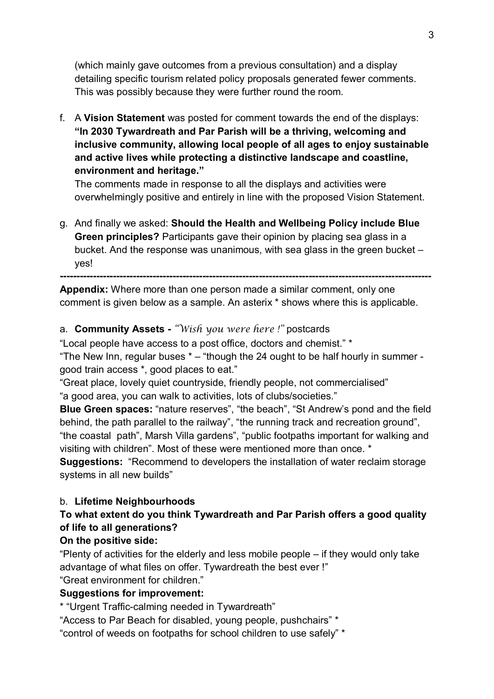(which mainly gave outcomes from a previous consultation) and a display detailing specific tourism related policy proposals generated fewer comments. This was possibly because they were further round the room.

f. A **Vision Statement** was posted for comment towards the end of the displays: **"In 2030 Tywardreath and Par Parish will be a thriving, welcoming and inclusive community, allowing local people of all ages to enjoy sustainable and active lives while protecting a distinctive landscape and coastline, environment and heritage."**

The comments made in response to all the displays and activities were overwhelmingly positive and entirely in line with the proposed Vision Statement.

g. And finally we asked: **Should the Health and Wellbeing Policy include Blue Green principles?** Participants gave their opinion by placing sea glass in a bucket. And the response was unanimous, with sea glass in the green bucket – yes!

**---------------------------------------------------------------------------------------------------------------- Appendix:** Where more than one person made a similar comment, only one comment is given below as a sample. An asterix \* shows where this is applicable.

## a. **Community Assets -** *"Wish you were here !"* postcards

"Local people have access to a post office, doctors and chemist." \*

"The New Inn, regular buses \* – "though the 24 ought to be half hourly in summer good train access \*, good places to eat."

"Great place, lovely quiet countryside, friendly people, not commercialised" "a good area, you can walk to activities, lots of clubs/societies."

**Blue Green spaces:** "nature reserves", "the beach", "St Andrew's pond and the field behind, the path parallel to the railway", "the running track and recreation ground", "the coastal path", Marsh Villa gardens", "public footpaths important for walking and visiting with children". Most of these were mentioned more than once. \*

**Suggestions:** "Recommend to developers the installation of water reclaim storage systems in all new builds"

### b. **Lifetime Neighbourhoods**

## **To what extent do you think Tywardreath and Par Parish offers a good quality of life to all generations?**

### **On the positive side:**

"Plenty of activities for the elderly and less mobile people – if they would only take advantage of what files on offer. Tywardreath the best ever !"

"Great environment for children."

### **Suggestions for improvement:**

\* "Urgent Traffic-calming needed in Tywardreath"

"Access to Par Beach for disabled, young people, pushchairs" \*

"control of weeds on footpaths for school children to use safely" \*